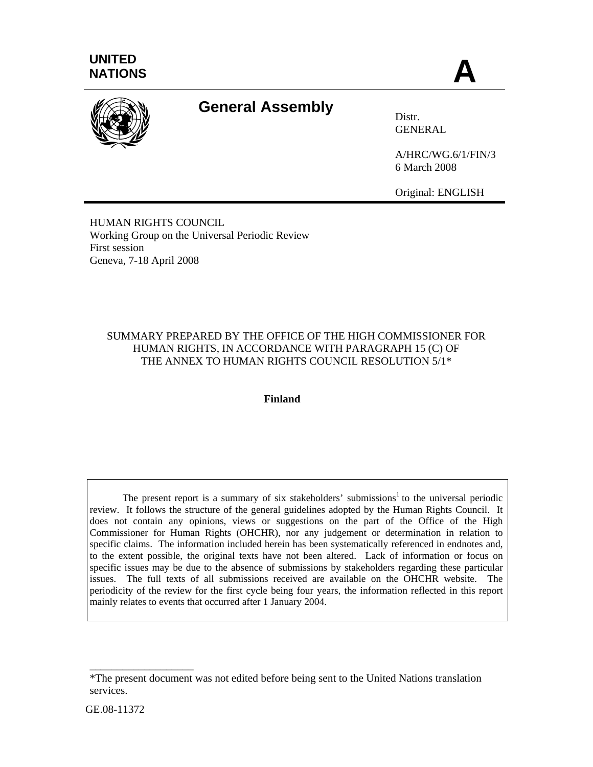

# **General Assembly** Distr.

**GENERAL** 

A/HRC/WG.6/1/FIN/3 6 March 2008

Original: ENGLISH

HUMAN RIGHTS COUNCIL Working Group on the Universal Periodic Review First session Geneva, 7-18 April 2008

## SUMMARY PREPARED BY THE OFFICE OF THE HIGH COMMISSIONER FOR HUMAN RIGHTS, IN ACCORDANCE WITH PARAGRAPH 15 (C) OF THE ANNEX TO HUMAN RIGHTS COUNCIL RESOLUTION 5/1\*

## **Finland**

The present report is a summary of six stakeholders' submissions<sup>1</sup> to the universal periodic review. It follows the structure of the general guidelines adopted by the Human Rights Council. It does not contain any opinions, views or suggestions on the part of the Office of the High Commissioner for Human Rights (OHCHR), nor any judgement or determination in relation to specific claims. The information included herein has been systematically referenced in endnotes and, to the extent possible, the original texts have not been altered. Lack of information or focus on specific issues may be due to the absence of submissions by stakeholders regarding these particular issues. The full texts of all submissions received are available on the OHCHR website. The periodicity of the review for the first cycle being four years, the information reflected in this report mainly relates to events that occurred after 1 January 2004.

\_\_\_\_\_\_\_\_\_\_\_\_\_\_\_\_\_\_\_

<sup>\*</sup>The present document was not edited before being sent to the United Nations translation services.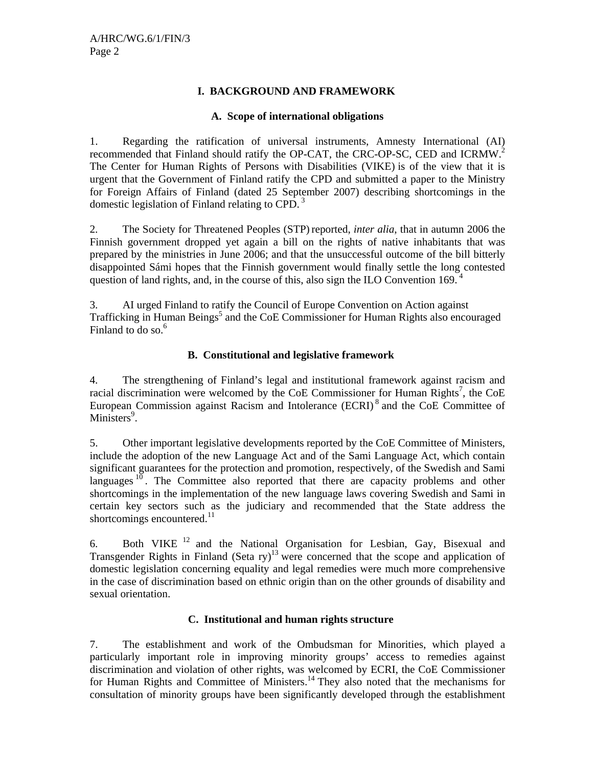#### **I. BACKGROUND AND FRAMEWORK**

#### **A. Scope of international obligations**

1. Regarding the ratification of universal instruments, Amnesty International (AI) recommended that Finland should ratify the OP-CAT, the CRC-OP-SC, CED and ICRMW.<sup>2</sup> The Center for Human Rights of Persons with Disabilities (VIKE) is of the view that it is urgent that the Government of Finland ratify the CPD and submitted a paper to the Ministry for Foreign Affairs of Finland (dated 25 September 2007) describing shortcomings in the domestic legislation of Finland relating to CPD. 3

2. The Society for Threatened Peoples (STP) reported, *inter alia*, that in autumn 2006 the Finnish government dropped yet again a bill on the rights of native inhabitants that was prepared by the ministries in June 2006; and that the unsuccessful outcome of the bill bitterly disappointed Sámi hopes that the Finnish government would finally settle the long contested question of land rights, and, in the course of this, also sign the ILO Convention 169. $<sup>4</sup>$ </sup>

3. AI urged Finland to ratify the Council of Europe Convention on Action against Trafficking in Human Beings<sup>5</sup> and the CoE Commissioner for Human Rights also encouraged Finland to do so. $6<sup>6</sup>$ 

#### **B. Constitutional and legislative framework**

4. The strengthening of Finland's legal and institutional framework against racism and racial discrimination were welcomed by the CoE Commissioner for Human Rights<sup>7</sup>, the CoE European Commission against Racism and Intolerance (ECRI) 8 and the CoE Committee of Ministers<sup>9</sup>.

5. Other important legislative developments reported by the CoE Committee of Ministers, include the adoption of the new Language Act and of the Sami Language Act, which contain significant guarantees for the protection and promotion, respectively, of the Swedish and Sami languages  $10$ . The Committee also reported that there are capacity problems and other shortcomings in the implementation of the new language laws covering Swedish and Sami in certain key sectors such as the judiciary and recommended that the State address the shortcomings encountered. $^{11}$ 

6. Both VIKE 12 and the National Organisation for Lesbian, Gay, Bisexual and Transgender Rights in Finland (Seta ry)<sup>13</sup> were concerned that the scope and application of domestic legislation concerning equality and legal remedies were much more comprehensive in the case of discrimination based on ethnic origin than on the other grounds of disability and sexual orientation.

## **C. Institutional and human rights structure**

7. The establishment and work of the Ombudsman for Minorities, which played a particularly important role in improving minority groups' access to remedies against discrimination and violation of other rights, was welcomed by ECRI, the CoE Commissioner for Human Rights and Committee of Ministers.14 They also noted that the mechanisms for consultation of minority groups have been significantly developed through the establishment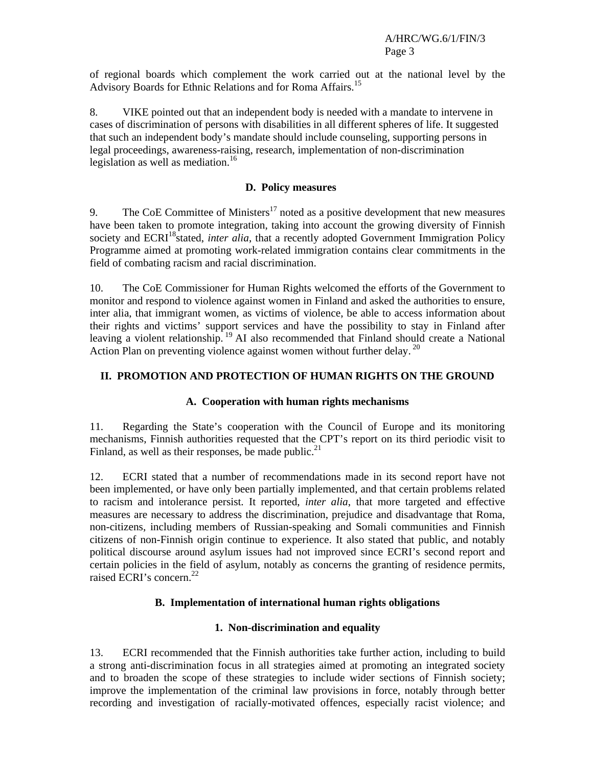of regional boards which complement the work carried out at the national level by the Advisory Boards for Ethnic Relations and for Roma Affairs.15

8. VIKE pointed out that an independent body is needed with a mandate to intervene in cases of discrimination of persons with disabilities in all different spheres of life. It suggested that such an independent body's mandate should include counseling, supporting persons in legal proceedings, awareness-raising, research, implementation of non-discrimination legislation as well as mediation.<sup>16</sup>

#### **D. Policy measures**

9. The CoE Committee of Ministers<sup>17</sup> noted as a positive development that new measures have been taken to promote integration, taking into account the growing diversity of Finnish society and ECRI<sup>18</sup>stated, *inter alia*, that a recently adopted Government Immigration Policy Programme aimed at promoting work-related immigration contains clear commitments in the field of combating racism and racial discrimination.

10. The CoE Commissioner for Human Rights welcomed the efforts of the Government to monitor and respond to violence against women in Finland and asked the authorities to ensure, inter alia, that immigrant women, as victims of violence, be able to access information about their rights and victims' support services and have the possibility to stay in Finland after leaving a violent relationship. 19 AI also recommended that Finland should create a National Action Plan on preventing violence against women without further delay.<sup>20</sup>

## **II. PROMOTION AND PROTECTION OF HUMAN RIGHTS ON THE GROUND**

## **A. Cooperation with human rights mechanisms**

11. Regarding the State's cooperation with the Council of Europe and its monitoring mechanisms, Finnish authorities requested that the CPT's report on its third periodic visit to Finland, as well as their responses, be made public. $21$ 

12. ECRI stated that a number of recommendations made in its second report have not been implemented, or have only been partially implemented, and that certain problems related to racism and intolerance persist. It reported, *inter alia*, that more targeted and effective measures are necessary to address the discrimination, prejudice and disadvantage that Roma, non-citizens, including members of Russian-speaking and Somali communities and Finnish citizens of non-Finnish origin continue to experience. It also stated that public, and notably political discourse around asylum issues had not improved since ECRI's second report and certain policies in the field of asylum, notably as concerns the granting of residence permits, raised ECRI's concern.<sup>22</sup>

## **B. Implementation of international human rights obligations**

## **1. Non-discrimination and equality**

13. ECRI recommended that the Finnish authorities take further action, including to build a strong anti-discrimination focus in all strategies aimed at promoting an integrated society and to broaden the scope of these strategies to include wider sections of Finnish society; improve the implementation of the criminal law provisions in force, notably through better recording and investigation of racially-motivated offences, especially racist violence; and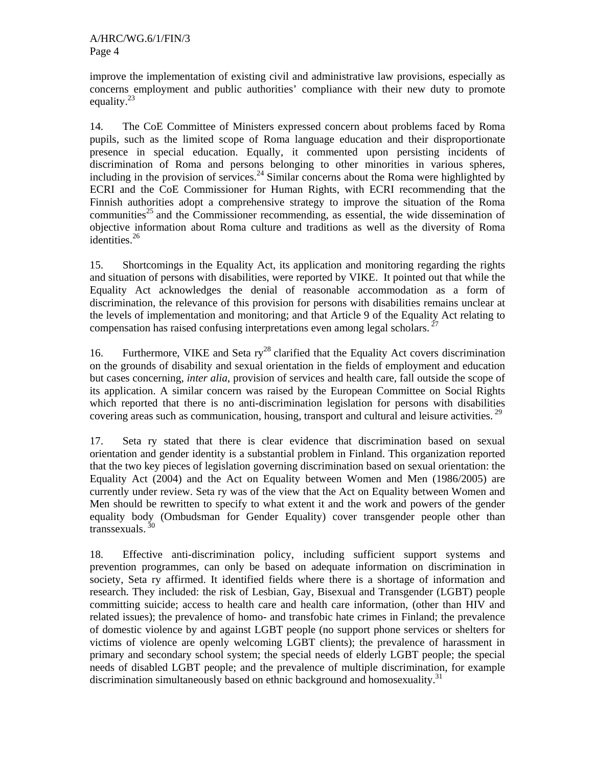improve the implementation of existing civil and administrative law provisions, especially as concerns employment and public authorities' compliance with their new duty to promote equality. $^{23}$ 

14. The CoE Committee of Ministers expressed concern about problems faced by Roma pupils, such as the limited scope of Roma language education and their disproportionate presence in special education. Equally, it commented upon persisting incidents of discrimination of Roma and persons belonging to other minorities in various spheres, including in the provision of services.<sup>24</sup> Similar concerns about the Roma were highlighted by ECRI and the CoE Commissioner for Human Rights, with ECRI recommending that the Finnish authorities adopt a comprehensive strategy to improve the situation of the Roma communities<sup>25</sup> and the Commissioner recommending, as essential, the wide dissemination of objective information about Roma culture and traditions as well as the diversity of Roma identities.<sup>26</sup>

15. Shortcomings in the Equality Act, its application and monitoring regarding the rights and situation of persons with disabilities, were reported by VIKE. It pointed out that while the Equality Act acknowledges the denial of reasonable accommodation as a form of discrimination, the relevance of this provision for persons with disabilities remains unclear at the levels of implementation and monitoring; and that Article 9 of the Equality Act relating to compensation has raised confusing interpretations even among legal scholars.  $2^7$ 

16. Furthermore, VIKE and Seta  $ry^{28}$  clarified that the Equality Act covers discrimination on the grounds of disability and sexual orientation in the fields of employment and education but cases concerning, *inter alia*, provision of services and health care, fall outside the scope of its application. A similar concern was raised by the European Committee on Social Rights which reported that there is no anti-discrimination legislation for persons with disabilities covering areas such as communication, housing, transport and cultural and leisure activities.<sup>29</sup>

17. Seta ry stated that there is clear evidence that discrimination based on sexual orientation and gender identity is a substantial problem in Finland. This organization reported that the two key pieces of legislation governing discrimination based on sexual orientation: the Equality Act (2004) and the Act on Equality between Women and Men (1986/2005) are currently under review. Seta ry was of the view that the Act on Equality between Women and Men should be rewritten to specify to what extent it and the work and powers of the gender equality body (Ombudsman for Gender Equality) cover transgender people other than transsexuals. 30

18. Effective anti-discrimination policy, including sufficient support systems and prevention programmes, can only be based on adequate information on discrimination in society, Seta ry affirmed. It identified fields where there is a shortage of information and research. They included: the risk of Lesbian, Gay, Bisexual and Transgender (LGBT) people committing suicide; access to health care and health care information, (other than HIV and related issues); the prevalence of homo- and transfobic hate crimes in Finland; the prevalence of domestic violence by and against LGBT people (no support phone services or shelters for victims of violence are openly welcoming LGBT clients); the prevalence of harassment in primary and secondary school system; the special needs of elderly LGBT people; the special needs of disabled LGBT people; and the prevalence of multiple discrimination, for example discrimination simultaneously based on ethnic background and homosexuality.<sup>31</sup>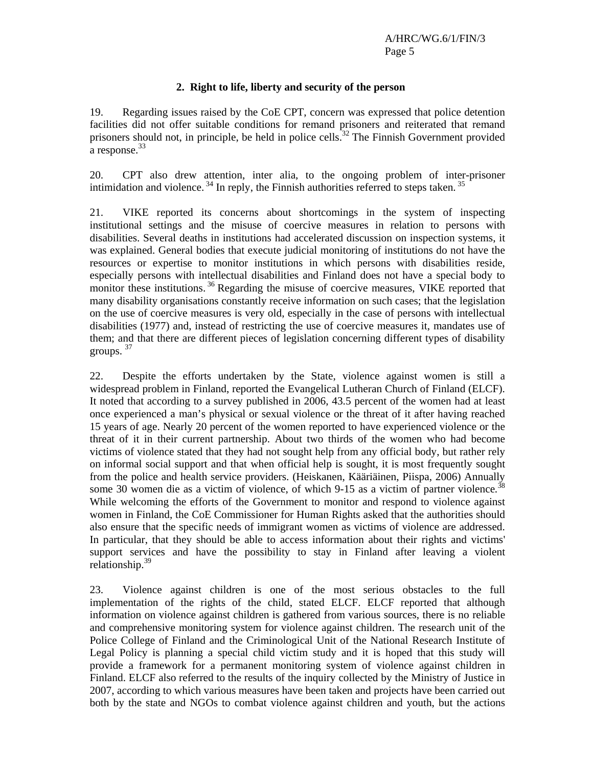#### **2. Right to life, liberty and security of the person**

19. Regarding issues raised by the CoE CPT, concern was expressed that police detention facilities did not offer suitable conditions for remand prisoners and reiterated that remand prisoners should not, in principle, be held in police cells.<sup>32</sup> The Finnish Government provided a response.<sup>33</sup>

20. CPT also drew attention, inter alia, to the ongoing problem of inter-prisoner intimidation and violence.  $34$  In reply, the Finnish authorities referred to steps taken.  $35$ 

21. VIKE reported its concerns about shortcomings in the system of inspecting institutional settings and the misuse of coercive measures in relation to persons with disabilities. Several deaths in institutions had accelerated discussion on inspection systems, it was explained. General bodies that execute judicial monitoring of institutions do not have the resources or expertise to monitor institutions in which persons with disabilities reside, especially persons with intellectual disabilities and Finland does not have a special body to monitor these institutions.<sup>36</sup> Regarding the misuse of coercive measures, VIKE reported that many disability organisations constantly receive information on such cases; that the legislation on the use of coercive measures is very old, especially in the case of persons with intellectual disabilities (1977) and, instead of restricting the use of coercive measures it, mandates use of them; and that there are different pieces of legislation concerning different types of disability groups. 37

22. Despite the efforts undertaken by the State, violence against women is still a widespread problem in Finland, reported the Evangelical Lutheran Church of Finland (ELCF). It noted that according to a survey published in 2006, 43.5 percent of the women had at least once experienced a man's physical or sexual violence or the threat of it after having reached 15 years of age. Nearly 20 percent of the women reported to have experienced violence or the threat of it in their current partnership. About two thirds of the women who had become victims of violence stated that they had not sought help from any official body, but rather rely on informal social support and that when official help is sought, it is most frequently sought from the police and health service providers. (Heiskanen, Kääriäinen, Piispa, 2006) Annually some 30 women die as a victim of violence, of which 9-15 as a victim of partner violence*.* 38 While welcoming the efforts of the Government to monitor and respond to violence against women in Finland, the CoE Commissioner for Human Rights asked that the authorities should also ensure that the specific needs of immigrant women as victims of violence are addressed. In particular, that they should be able to access information about their rights and victims' support services and have the possibility to stay in Finland after leaving a violent relationship.<sup>39</sup>

23. Violence against children is one of the most serious obstacles to the full implementation of the rights of the child, stated ELCF. ELCF reported that although information on violence against children is gathered from various sources, there is no reliable and comprehensive monitoring system for violence against children. The research unit of the Police College of Finland and the Criminological Unit of the National Research Institute of Legal Policy is planning a special child victim study and it is hoped that this study will provide a framework for a permanent monitoring system of violence against children in Finland. ELCF also referred to the results of the inquiry collected by the Ministry of Justice in 2007, according to which various measures have been taken and projects have been carried out both by the state and NGOs to combat violence against children and youth, but the actions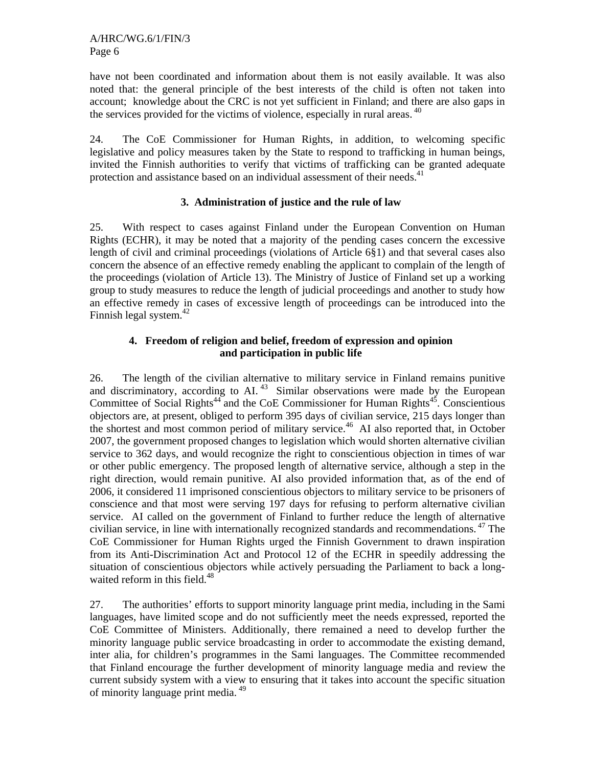have not been coordinated and information about them is not easily available. It was also noted that: the general principle of the best interests of the child is often not taken into account; knowledge about the CRC is not yet sufficient in Finland; and there are also gaps in the services provided for the victims of violence, especially in rural areas. <sup>40</sup>

24. The CoE Commissioner for Human Rights, in addition, to welcoming specific legislative and policy measures taken by the State to respond to trafficking in human beings, invited the Finnish authorities to verify that victims of trafficking can be granted adequate protection and assistance based on an individual assessment of their needs.<sup>41</sup>

## **3. Administration of justice and the rule of law**

25. With respect to cases against Finland under the European Convention on Human Rights (ECHR), it may be noted that a majority of the pending cases concern the excessive length of civil and criminal proceedings (violations of Article 6§1) and that several cases also concern the absence of an effective remedy enabling the applicant to complain of the length of the proceedings (violation of Article 13). The Ministry of Justice of Finland set up a working group to study measures to reduce the length of judicial proceedings and another to study how an effective remedy in cases of excessive length of proceedings can be introduced into the Finnish legal system.<sup>42</sup>

#### **4. Freedom of religion and belief, freedom of expression and opinion and participation in public life**

26. The length of the civilian alternative to military service in Finland remains punitive and discriminatory, according to AI.<sup>43</sup> Similar observations were made by the European Committee of Social Rights<sup>44</sup> and the CoE Commissioner for Human Rights<sup>45</sup>. Conscientious objectors are, at present, obliged to perform 395 days of civilian service, 215 days longer than the shortest and most common period of military service.<sup>46</sup> AI also reported that, in October 2007, the government proposed changes to legislation which would shorten alternative civilian service to 362 days, and would recognize the right to conscientious objection in times of war or other public emergency. The proposed length of alternative service, although a step in the right direction, would remain punitive. AI also provided information that, as of the end of 2006, it considered 11 imprisoned conscientious objectors to military service to be prisoners of conscience and that most were serving 197 days for refusing to perform alternative civilian service. AI called on the government of Finland to further reduce the length of alternative civilian service, in line with internationally recognized standards and recommendations.<sup>47</sup> The CoE Commissioner for Human Rights urged the Finnish Government to drawn inspiration from its Anti-Discrimination Act and Protocol 12 of the ECHR in speedily addressing the situation of conscientious objectors while actively persuading the Parliament to back a longwaited reform in this field.<sup>48</sup>

27. The authorities' efforts to support minority language print media, including in the Sami languages, have limited scope and do not sufficiently meet the needs expressed, reported the CoE Committee of Ministers. Additionally, there remained a need to develop further the minority language public service broadcasting in order to accommodate the existing demand, inter alia, for children's programmes in the Sami languages. The Committee recommended that Finland encourage the further development of minority language media and review the current subsidy system with a view to ensuring that it takes into account the specific situation of minority language print media. 49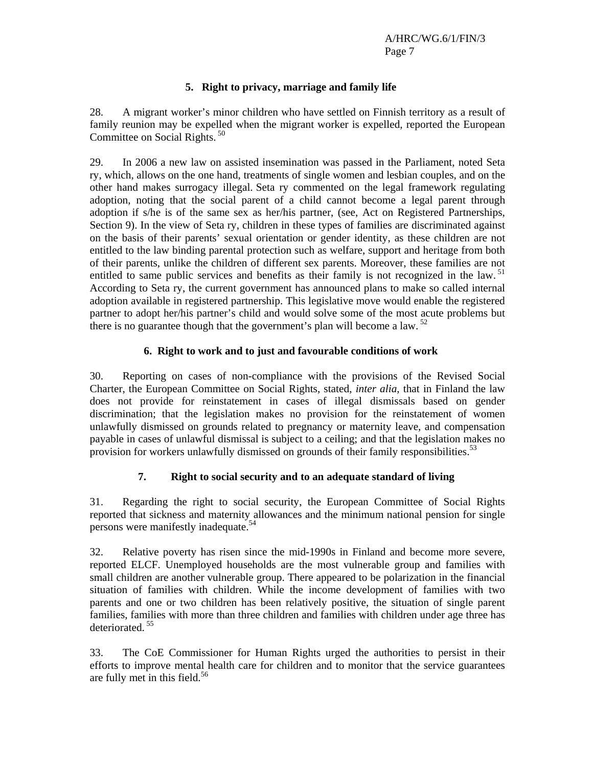## **5. Right to privacy, marriage and family life**

28. A migrant worker's minor children who have settled on Finnish territory as a result of family reunion may be expelled when the migrant worker is expelled, reported the European Committee on Social Rights.<sup>50</sup>

29. In 2006 a new law on assisted insemination was passed in the Parliament, noted Seta ry, which, allows on the one hand, treatments of single women and lesbian couples, and on the other hand makes surrogacy illegal. Seta ry commented on the legal framework regulating adoption, noting that the social parent of a child cannot become a legal parent through adoption if s/he is of the same sex as her/his partner, (see, Act on Registered Partnerships, Section 9). In the view of Seta ry, children in these types of families are discriminated against on the basis of their parents' sexual orientation or gender identity, as these children are not entitled to the law binding parental protection such as welfare, support and heritage from both of their parents, unlike the children of different sex parents. Moreover, these families are not entitled to same public services and benefits as their family is not recognized in the law.<sup>51</sup> According to Seta ry, the current government has announced plans to make so called internal adoption available in registered partnership. This legislative move would enable the registered partner to adopt her/his partner's child and would solve some of the most acute problems but there is no guarantee though that the government's plan will become a law.<sup>52</sup>

## **6. Right to work and to just and favourable conditions of work**

30. Reporting on cases of non-compliance with the provisions of the Revised Social Charter, the European Committee on Social Rights, stated, *inter alia*, that in Finland the law does not provide for reinstatement in cases of illegal dismissals based on gender discrimination; that the legislation makes no provision for the reinstatement of women unlawfully dismissed on grounds related to pregnancy or maternity leave, and compensation payable in cases of unlawful dismissal is subject to a ceiling; and that the legislation makes no provision for workers unlawfully dismissed on grounds of their family responsibilities.<sup>53</sup>

## **7. Right to social security and to an adequate standard of living**

31. Regarding the right to social security, the European Committee of Social Rights reported that sickness and maternity allowances and the minimum national pension for single persons were manifestly inadequate.<sup>54</sup>

32. Relative poverty has risen since the mid-1990s in Finland and become more severe, reported ELCF. Unemployed households are the most vulnerable group and families with small children are another vulnerable group. There appeared to be polarization in the financial situation of families with children. While the income development of families with two parents and one or two children has been relatively positive, the situation of single parent families, families with more than three children and families with children under age three has deteriorated.<sup>55</sup>

33. The CoE Commissioner for Human Rights urged the authorities to persist in their efforts to improve mental health care for children and to monitor that the service guarantees are fully met in this field.<sup>56</sup>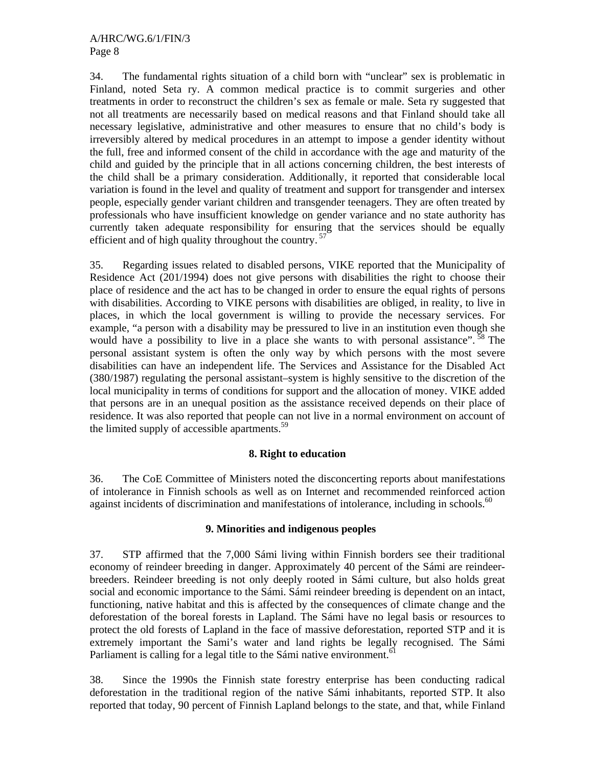34. The fundamental rights situation of a child born with "unclear" sex is problematic in Finland, noted Seta ry. A common medical practice is to commit surgeries and other treatments in order to reconstruct the children's sex as female or male. Seta ry suggested that not all treatments are necessarily based on medical reasons and that Finland should take all necessary legislative, administrative and other measures to ensure that no child's body is irreversibly altered by medical procedures in an attempt to impose a gender identity without the full, free and informed consent of the child in accordance with the age and maturity of the child and guided by the principle that in all actions concerning children, the best interests of the child shall be a primary consideration. Additionally, it reported that considerable local variation is found in the level and quality of treatment and support for transgender and intersex people, especially gender variant children and transgender teenagers. They are often treated by professionals who have insufficient knowledge on gender variance and no state authority has currently taken adequate responsibility for ensuring that the services should be equally efficient and of high quality throughout the country.  $57$ 

35. Regarding issues related to disabled persons, VIKE reported that the Municipality of Residence Act (201/1994) does not give persons with disabilities the right to choose their place of residence and the act has to be changed in order to ensure the equal rights of persons with disabilities. According to VIKE persons with disabilities are obliged, in reality, to live in places, in which the local government is willing to provide the necessary services. For example, "a person with a disability may be pressured to live in an institution even though she would have a possibility to live in a place she wants to with personal assistance". <sup>58</sup> The personal assistant system is often the only way by which persons with the most severe disabilities can have an independent life. The Services and Assistance for the Disabled Act (380/1987) regulating the personal assistant–system is highly sensitive to the discretion of the local municipality in terms of conditions for support and the allocation of money. VIKE added that persons are in an unequal position as the assistance received depends on their place of residence. It was also reported that people can not live in a normal environment on account of the limited supply of accessible apartments.<sup>59</sup>

#### **8. Right to education**

36. The CoE Committee of Ministers noted the disconcerting reports about manifestations of intolerance in Finnish schools as well as on Internet and recommended reinforced action against incidents of discrimination and manifestations of intolerance, including in schools.<sup>60</sup>

#### **9. Minorities and indigenous peoples**

37. STP affirmed that the 7,000 Sámi living within Finnish borders see their traditional economy of reindeer breeding in danger. Approximately 40 percent of the Sámi are reindeerbreeders. Reindeer breeding is not only deeply rooted in Sámi culture, but also holds great social and economic importance to the Sámi. Sámi reindeer breeding is dependent on an intact, functioning, native habitat and this is affected by the consequences of climate change and the deforestation of the boreal forests in Lapland. The Sámi have no legal basis or resources to protect the old forests of Lapland in the face of massive deforestation, reported STP and it is extremely important the Sami's water and land rights be legally recognised. The Sámi Parliament is calling for a legal title to the Sámi native environment.<sup>61</sup>

38. Since the 1990s the Finnish state forestry enterprise has been conducting radical deforestation in the traditional region of the native Sámi inhabitants, reported STP. It also reported that today, 90 percent of Finnish Lapland belongs to the state, and that, while Finland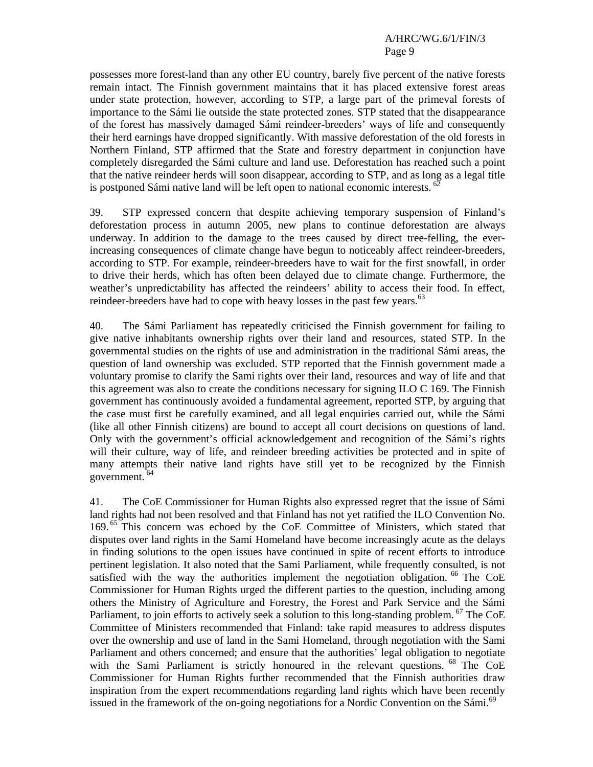#### A/HRC/WG.6/1/FIN/3 Page 9

possesses more forest-land than any other EU country, barely five percent of the native forests remain intact. The Finnish government maintains that it has placed extensive forest areas under state protection, however, according to STP, a large part of the primeval forests of importance to the Sámi lie outside the state protected zones. STP stated that the disappearance of the forest has massively damaged Sámi reindeer-breeders' ways of life and consequently their herd earnings have dropped significantly. With massive deforestation of the old forests in Northern Finland, STP affirmed that the State and forestry department in conjunction have completely disregarded the Sámi culture and land use. Deforestation has reached such a point that the native reindeer herds will soon disappear, according to STP, and as long as a legal title is postponed Sámi native land will be left open to national economic interests.<sup>62</sup>

39. STP expressed concern that despite achieving temporary suspension of Finland's deforestation process in autumn 2005, new plans to continue deforestation are always underway. In addition to the damage to the trees caused by direct tree-felling, the everincreasing consequences of climate change have begun to noticeably affect reindeer-breeders, according to STP. For example, reindeer-breeders have to wait for the first snowfall, in order to drive their herds, which has often been delayed due to climate change. Furthermore, the weather's unpredictability has affected the reindeers' ability to access their food. In effect, reindeer-breeders have had to cope with heavy losses in the past few years.<sup>63</sup>

40. The Sámi Parliament has repeatedly criticised the Finnish government for failing to give native inhabitants ownership rights over their land and resources, stated STP. In the governmental studies on the rights of use and administration in the traditional Sámi areas, the question of land ownership was excluded. STP reported that the Finnish government made a voluntary promise to clarify the Sami rights over their land, resources and way of life and that this agreement was also to create the conditions necessary for signing ILO C 169. The Finnish government has continuously avoided a fundamental agreement, reported STP, by arguing that the case must first be carefully examined, and all legal enquiries carried out, while the Sámi (like all other Finnish citizens) are bound to accept all court decisions on questions of land. Only with the government's official acknowledgement and recognition of the Sámi's rights will their culture, way of life, and reindeer breeding activities be protected and in spite of many attempts their native land rights have still yet to be recognized by the Finnish government. 64

41. The CoE Commissioner for Human Rights also expressed regret that the issue of Sámi land rights had not been resolved and that Finland has not yet ratified the ILO Convention No. 169.<sup>65</sup> This concern was echoed by the CoE Committee of Ministers, which stated that disputes over land rights in the Sami Homeland have become increasingly acute as the delays in finding solutions to the open issues have continued in spite of recent efforts to introduce pertinent legislation. It also noted that the Sami Parliament, while frequently consulted, is not satisfied with the way the authorities implement the negotiation obligation. <sup>66</sup> The CoE Commissioner for Human Rights urged the different parties to the question, including among others the Ministry of Agriculture and Forestry, the Forest and Park Service and the Sámi Parliament, to join efforts to actively seek a solution to this long-standing problem. <sup>67</sup> The CoE Committee of Ministers recommended that Finland: take rapid measures to address disputes over the ownership and use of land in the Sami Homeland, through negotiation with the Sami Parliament and others concerned; and ensure that the authorities' legal obligation to negotiate with the Sami Parliament is strictly honoured in the relevant questions. <sup>68</sup> The CoE Commissioner for Human Rights further recommended that the Finnish authorities draw inspiration from the expert recommendations regarding land rights which have been recently issued in the framework of the on-going negotiations for a Nordic Convention on the Sámi.<sup>69</sup>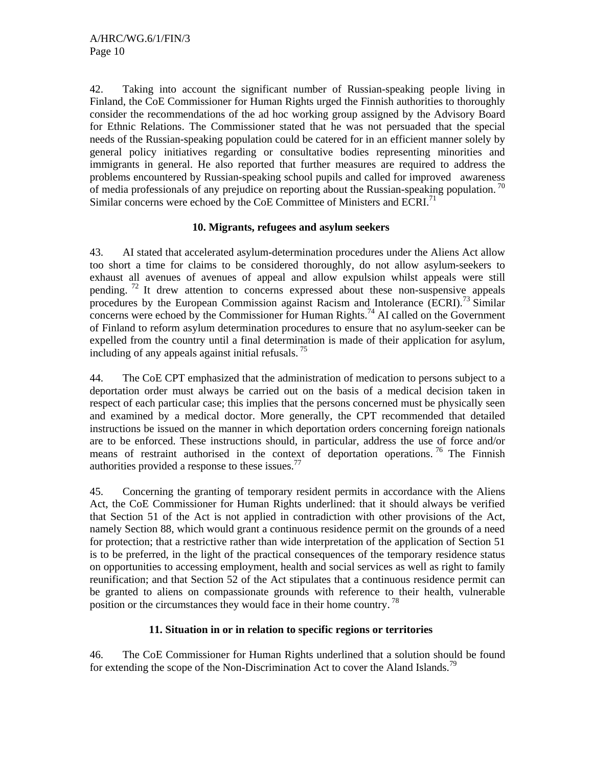42. Taking into account the significant number of Russian-speaking people living in Finland, the CoE Commissioner for Human Rights urged the Finnish authorities to thoroughly consider the recommendations of the ad hoc working group assigned by the Advisory Board for Ethnic Relations. The Commissioner stated that he was not persuaded that the special needs of the Russian-speaking population could be catered for in an efficient manner solely by general policy initiatives regarding or consultative bodies representing minorities and immigrants in general. He also reported that further measures are required to address the problems encountered by Russian-speaking school pupils and called for improved awareness of media professionals of any prejudice on reporting about the Russian-speaking population.<sup>70</sup> Similar concerns were echoed by the CoE Committee of Ministers and ECRI.<sup>71</sup>

#### **10. Migrants, refugees and asylum seekers**

43. AI stated that accelerated asylum-determination procedures under the Aliens Act allow too short a time for claims to be considered thoroughly, do not allow asylum-seekers to exhaust all avenues of avenues of appeal and allow expulsion whilst appeals were still pending. <sup>72</sup> It drew attention to concerns expressed about these non-suspensive appeals procedures by the European Commission against Racism and Intolerance  $(ECRI)$ .<sup>73</sup> Similar concerns were echoed by the Commissioner for Human Rights.<sup>74</sup> AI called on the Government of Finland to reform asylum determination procedures to ensure that no asylum-seeker can be expelled from the country until a final determination is made of their application for asylum, including of any appeals against initial refusals. 75

44. The CoE CPT emphasized that the administration of medication to persons subject to a deportation order must always be carried out on the basis of a medical decision taken in respect of each particular case; this implies that the persons concerned must be physically seen and examined by a medical doctor. More generally, the CPT recommended that detailed instructions be issued on the manner in which deportation orders concerning foreign nationals are to be enforced. These instructions should, in particular, address the use of force and/or means of restraint authorised in the context of deportation operations. <sup>76</sup> The Finnish authorities provided a response to these issues.<sup>77</sup>

45. Concerning the granting of temporary resident permits in accordance with the Aliens Act, the CoE Commissioner for Human Rights underlined: that it should always be verified that Section 51 of the Act is not applied in contradiction with other provisions of the Act, namely Section 88, which would grant a continuous residence permit on the grounds of a need for protection; that a restrictive rather than wide interpretation of the application of Section 51 is to be preferred, in the light of the practical consequences of the temporary residence status on opportunities to accessing employment, health and social services as well as right to family reunification; and that Section 52 of the Act stipulates that a continuous residence permit can be granted to aliens on compassionate grounds with reference to their health, vulnerable position or the circumstances they would face in their home country. 78

## **11. Situation in or in relation to specific regions or territories**

46. The CoE Commissioner for Human Rights underlined that a solution should be found for extending the scope of the Non-Discrimination Act to cover the Aland Islands.<sup>79</sup>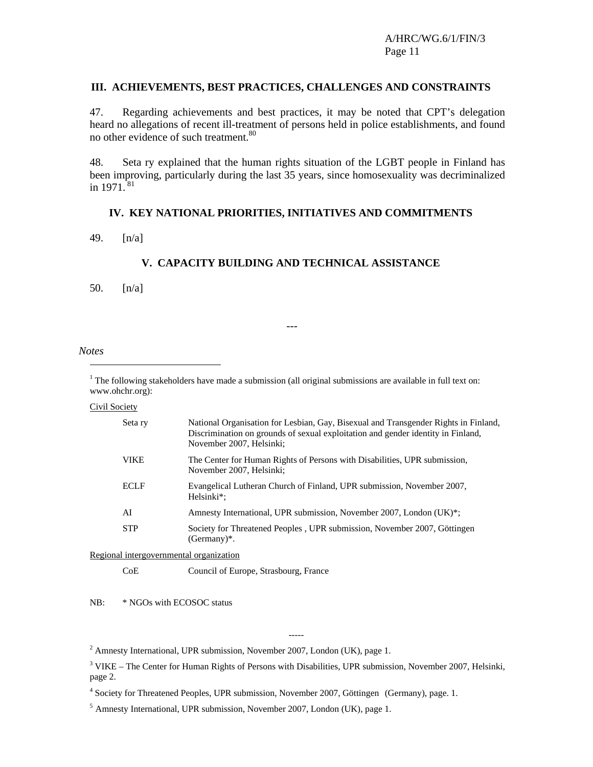#### **III. ACHIEVEMENTS, BEST PRACTICES, CHALLENGES AND CONSTRAINTS**

47. Regarding achievements and best practices, it may be noted that CPT's delegation heard no allegations of recent ill-treatment of persons held in police establishments, and found no other evidence of such treatment.<sup>80</sup>

48. Seta ry explained that the human rights situation of the LGBT people in Finland has been improving, particularly during the last 35 years, since homosexuality was decriminalized in  $1971.^{81}$ 

#### **IV. KEY NATIONAL PRIORITIES, INITIATIVES AND COMMITMENTS**

49. [n/a]

#### **V. CAPACITY BUILDING AND TECHNICAL ASSISTANCE**

50. [n/a]

---

#### *Notes*  l

<sup>1</sup> The following stakeholders have made a submission (all original submissions are available in full text on: www.ohchr.org):

#### Civil Society

| Seta ry                                 | National Organisation for Lesbian, Gay, Bisexual and Transgender Rights in Finland,<br>Discrimination on grounds of sexual exploitation and gender identity in Finland,<br>November 2007, Helsinki; |
|-----------------------------------------|-----------------------------------------------------------------------------------------------------------------------------------------------------------------------------------------------------|
| <b>VIKE</b>                             | The Center for Human Rights of Persons with Disabilities, UPR submission,<br>November 2007, Helsinki;                                                                                               |
| <b>ECLF</b>                             | Evangelical Lutheran Church of Finland, UPR submission, November 2007,<br>Helsinki <sup>*</sup> :                                                                                                   |
| AI                                      | Amnesty International, UPR submission, November 2007, London (UK)*;                                                                                                                                 |
| <b>STP</b>                              | Society for Threatened Peoples, UPR submission, November 2007, Göttingen<br>$(Germany)*$ .                                                                                                          |
| Regional intergovernmental organization |                                                                                                                                                                                                     |

CoE Council of Europe, Strasbourg, France

NB: \* NGOs with ECOSOC status

<sup>2</sup> Amnesty International, UPR submission, November 2007, London (UK), page 1.

<sup>3</sup> VIKE – The Center for Human Rights of Persons with Disabilities, UPR submission, November 2007, Helsinki, page 2.

-----

<sup>4</sup> Society for Threatened Peoples, UPR submission, November 2007, Göttingen (Germany), page. 1.

<sup>5</sup> Amnesty International, UPR submission, November 2007, London (UK), page 1.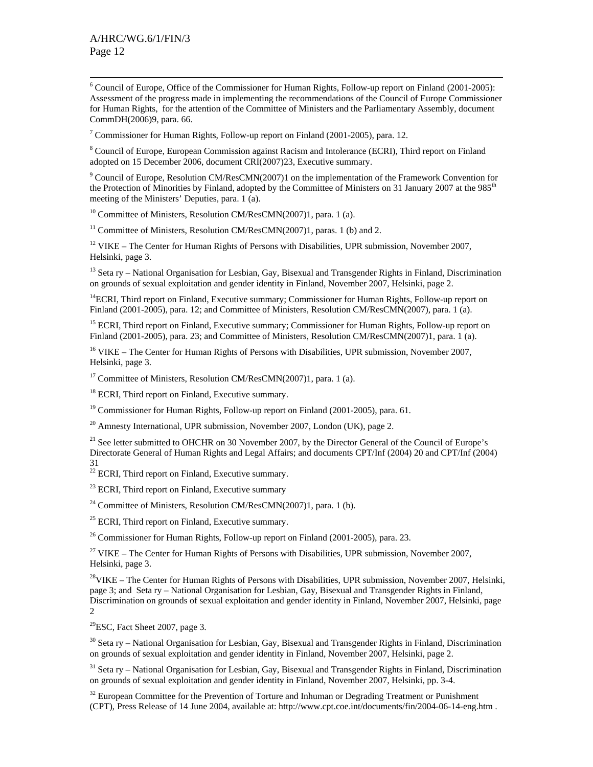6  $6$  Council of Europe, Office of the Commissioner for Human Rights, Follow-up report on Finland (2001-2005): Assessment of the progress made in implementing the recommendations of the Council of Europe Commissioner for Human Rights, for the attention of the Committee of Ministers and the Parliamentary Assembly, document CommDH(2006)9, para. 66.

<sup>7</sup> Commissioner for Human Rights, Follow-up report on Finland (2001-2005), para. 12.

<sup>8</sup> Council of Europe, European Commission against Racism and Intolerance (ECRI), Third report on Finland adopted on 15 December 2006, document CRI(2007)23, Executive summary.

<sup>9</sup> Council of Europe, Resolution CM/ResCMN(2007)1 on the implementation of the Framework Convention for the Protection of Minorities by Finland, adopted by the Committee of Ministers on 31 January 2007 at the 985<sup>th</sup> meeting of the Ministers' Deputies, para. 1 (a).

 $10$  Committee of Ministers, Resolution CM/ResCMN(2007)1, para. 1 (a).

<sup>11</sup> Committee of Ministers, Resolution CM/ResCMN(2007)1, paras. 1 (b) and 2.

<sup>12</sup> VIKE – The Center for Human Rights of Persons with Disabilities, UPR submission, November 2007, Helsinki, page 3.

<sup>13</sup> Seta ry – National Organisation for Lesbian, Gay, Bisexual and Transgender Rights in Finland, Discrimination on grounds of sexual exploitation and gender identity in Finland, November 2007, Helsinki, page 2.

<sup>14</sup>ECRI, Third report on Finland, Executive summary; Commissioner for Human Rights, Follow-up report on Finland (2001-2005), para. 12; and Committee of Ministers, Resolution CM/ResCMN(2007), para. 1 (a).

<sup>15</sup> ECRI, Third report on Finland, Executive summary; Commissioner for Human Rights, Follow-up report on Finland (2001-2005), para. 23; and Committee of Ministers, Resolution CM/ResCMN(2007)1, para. 1 (a).

<sup>16</sup> VIKE – The Center for Human Rights of Persons with Disabilities, UPR submission, November 2007, Helsinki, page 3.

<sup>17</sup> Committee of Ministers, Resolution CM/ResCMN(2007)1, para. 1 (a).

<sup>18</sup> ECRI, Third report on Finland, Executive summary.

<sup>19</sup> Commissioner for Human Rights, Follow-up report on Finland (2001-2005), para. 61.

 $^{20}$  Amnesty International, UPR submission, November 2007, London (UK), page 2.

 $21$  See letter submitted to OHCHR on 30 November 2007, by the Director General of the Council of Europe's Directorate General of Human Rights and Legal Affairs; and documents CPT/Inf (2004) 20 and CPT/Inf (2004) 31

 $22$  ECRI, Third report on Finland, Executive summary.

 $^{23}$  ECRI, Third report on Finland, Executive summary

<sup>24</sup> Committee of Ministers, Resolution CM/ResCMN(2007)1, para. 1 (b).

 $25$  ECRI, Third report on Finland, Executive summary.

26 Commissioner for Human Rights, Follow-up report on Finland (2001-2005), para. 23.

 $27$  VIKE – The Center for Human Rights of Persons with Disabilities, UPR submission, November 2007, Helsinki, page 3.

<sup>28</sup>VIKE – The Center for Human Rights of Persons with Disabilities, UPR submission, November 2007, Helsinki, page 3; and Seta ry – National Organisation for Lesbian, Gay, Bisexual and Transgender Rights in Finland, Discrimination on grounds of sexual exploitation and gender identity in Finland, November 2007, Helsinki, page 2

 $^{29}$ ESC, Fact Sheet 2007, page 3.

<sup>30</sup> Seta ry – National Organisation for Lesbian, Gay, Bisexual and Transgender Rights in Finland, Discrimination on grounds of sexual exploitation and gender identity in Finland, November 2007, Helsinki, page 2.

<sup>31</sup> Seta ry – National Organisation for Lesbian, Gay, Bisexual and Transgender Rights in Finland, Discrimination on grounds of sexual exploitation and gender identity in Finland, November 2007, Helsinki, pp. 3-4.

 $32$  European Committee for the Prevention of Torture and Inhuman or Degrading Treatment or Punishment (CPT), Press Release of 14 June 2004, available at: http://www.cpt.coe.int/documents/fin/2004-06-14-eng.htm .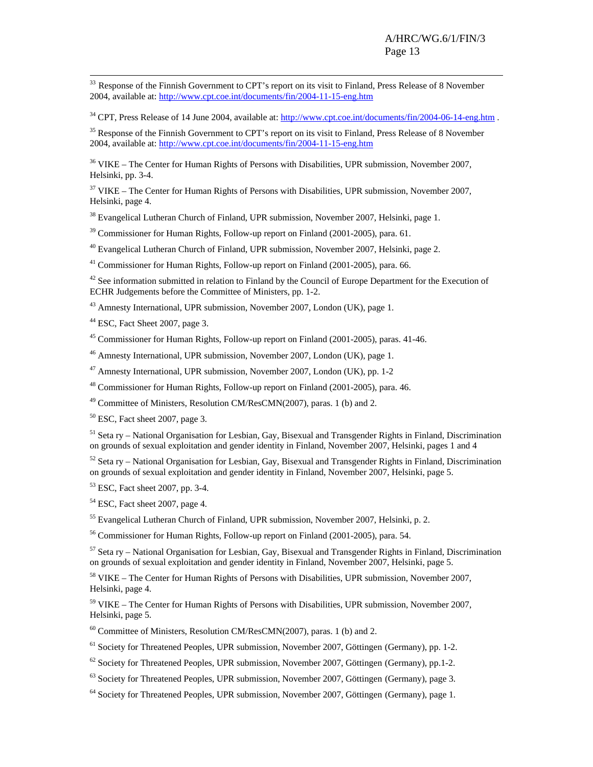<sup>33</sup> Response of the Finnish Government to CPT's report on its visit to Finland, Press Release of 8 November 2004, available at: http://www.cpt.coe.int/documents/fin/2004-11-15-eng.htm

<sup>34</sup> CPT, Press Release of 14 June 2004, available at: http://www.cpt.coe.int/documents/fin/2004-06-14-eng.htm .

<sup>35</sup> Response of the Finnish Government to CPT's report on its visit to Finland, Press Release of 8 November 2004, available at: http://www.cpt.coe.int/documents/fin/2004-11-15-eng.htm

36 VIKE – The Center for Human Rights of Persons with Disabilities, UPR submission, November 2007, Helsinki, pp. 3-4.

 $37$  VIKE – The Center for Human Rights of Persons with Disabilities, UPR submission, November 2007, Helsinki, page 4.

<sup>38</sup> Evangelical Lutheran Church of Finland, UPR submission, November 2007, Helsinki, page 1.

<sup>39</sup> Commissioner for Human Rights, Follow-up report on Finland (2001-2005), para. 61.

40 Evangelical Lutheran Church of Finland, UPR submission, November 2007, Helsinki, page 2.

41 Commissioner for Human Rights, Follow-up report on Finland (2001-2005), para. 66.

 $42$  See information submitted in relation to Finland by the Council of Europe Department for the Execution of ECHR Judgements before the Committee of Ministers, pp. 1-2.

<sup>43</sup> Amnesty International, UPR submission, November 2007, London (UK), page 1.

<sup>44</sup> ESC, Fact Sheet 2007, page 3.

45 Commissioner for Human Rights, Follow-up report on Finland (2001-2005), paras. 41-46.

46 Amnesty International, UPR submission, November 2007, London (UK), page 1.

47 Amnesty International, UPR submission, November 2007, London (UK), pp. 1-2

48 Commissioner for Human Rights, Follow-up report on Finland (2001-2005), para. 46.

49 Committee of Ministers, Resolution CM/ResCMN(2007), paras. 1 (b) and 2.

 $50$  ESC, Fact sheet 2007, page 3.

51 Seta ry – National Organisation for Lesbian, Gay, Bisexual and Transgender Rights in Finland, Discrimination on grounds of sexual exploitation and gender identity in Finland, November 2007, Helsinki, pages 1 and 4

52 Seta ry – National Organisation for Lesbian, Gay, Bisexual and Transgender Rights in Finland, Discrimination on grounds of sexual exploitation and gender identity in Finland, November 2007, Helsinki, page 5.

53 ESC, Fact sheet 2007, pp. 3-4.

54 ESC, Fact sheet 2007, page 4.

55 Evangelical Lutheran Church of Finland, UPR submission, November 2007, Helsinki, p. 2.

56 Commissioner for Human Rights, Follow-up report on Finland (2001-2005), para. 54.

57 Seta ry – National Organisation for Lesbian, Gay, Bisexual and Transgender Rights in Finland, Discrimination on grounds of sexual exploitation and gender identity in Finland, November 2007, Helsinki, page 5.

58 VIKE – The Center for Human Rights of Persons with Disabilities, UPR submission, November 2007, Helsinki, page 4.

59 VIKE – The Center for Human Rights of Persons with Disabilities, UPR submission, November 2007, Helsinki, page 5.

60 Committee of Ministers, Resolution CM/ResCMN(2007), paras. 1 (b) and 2.

 $<sup>61</sup>$  Society for Threatened Peoples, UPR submission, November 2007, Göttingen (Germany), pp. 1-2.</sup>

 $62$  Society for Threatened Peoples, UPR submission, November 2007, Göttingen (Germany), pp.1-2.

 $^{63}$  Society for Threatened Peoples, UPR submission, November 2007, Göttingen (Germany), page 3.

64 Society for Threatened Peoples, UPR submission, November 2007, Göttingen (Germany), page 1.